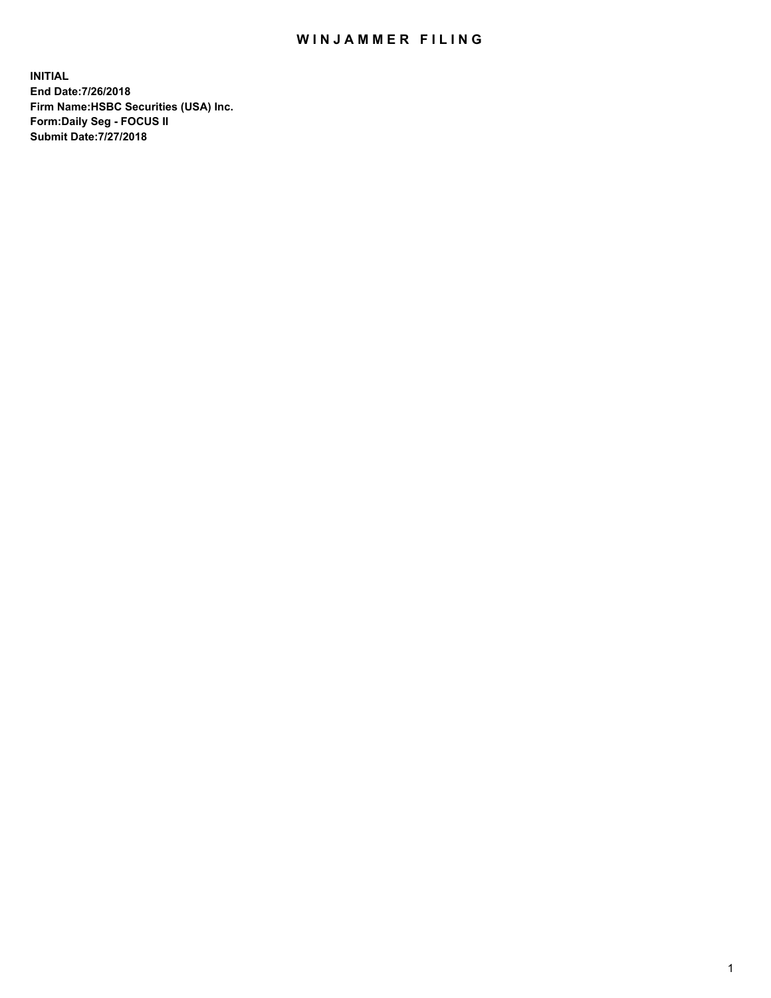## WIN JAMMER FILING

**INITIAL End Date:7/26/2018 Firm Name:HSBC Securities (USA) Inc. Form:Daily Seg - FOCUS II Submit Date:7/27/2018**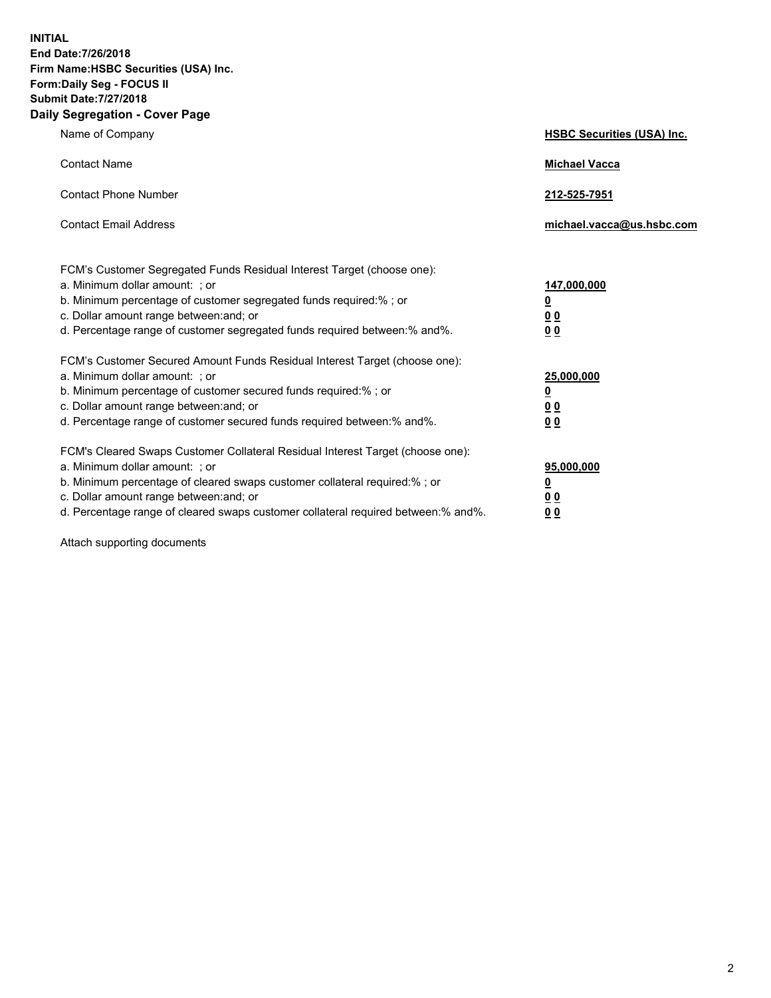**INITIAL End Date:7/26/2018 Firm Name:HSBC Securities (USA) Inc. Form:Daily Seg - FOCUS II Submit Date:7/27/2018 Daily Segregation - Cover Page**

| Name of Company                                                                                                                                                                                                                                                                                                                | <b>HSBC Securities (USA) Inc.</b>                           |
|--------------------------------------------------------------------------------------------------------------------------------------------------------------------------------------------------------------------------------------------------------------------------------------------------------------------------------|-------------------------------------------------------------|
| <b>Contact Name</b>                                                                                                                                                                                                                                                                                                            | <b>Michael Vacca</b>                                        |
| <b>Contact Phone Number</b>                                                                                                                                                                                                                                                                                                    | 212-525-7951                                                |
| <b>Contact Email Address</b>                                                                                                                                                                                                                                                                                                   | michael.vacca@us.hsbc.com                                   |
| FCM's Customer Segregated Funds Residual Interest Target (choose one):<br>a. Minimum dollar amount: : or<br>b. Minimum percentage of customer segregated funds required:% ; or<br>c. Dollar amount range between: and; or<br>d. Percentage range of customer segregated funds required between:% and%.                         | 147,000,000<br><u>0</u><br>0 <sub>0</sub><br>0 <sub>0</sub> |
| FCM's Customer Secured Amount Funds Residual Interest Target (choose one):<br>a. Minimum dollar amount: ; or<br>b. Minimum percentage of customer secured funds required:%; or<br>c. Dollar amount range between: and; or<br>d. Percentage range of customer secured funds required between: % and %.                          | 25,000,000<br><u>0</u><br>00<br>0 <sub>0</sub>              |
| FCM's Cleared Swaps Customer Collateral Residual Interest Target (choose one):<br>a. Minimum dollar amount: ; or<br>b. Minimum percentage of cleared swaps customer collateral required:% ; or<br>c. Dollar amount range between: and; or<br>d. Percentage range of cleared swaps customer collateral required between:% and%. | 95,000,000<br><u>0</u><br>00<br>00                          |

Attach supporting documents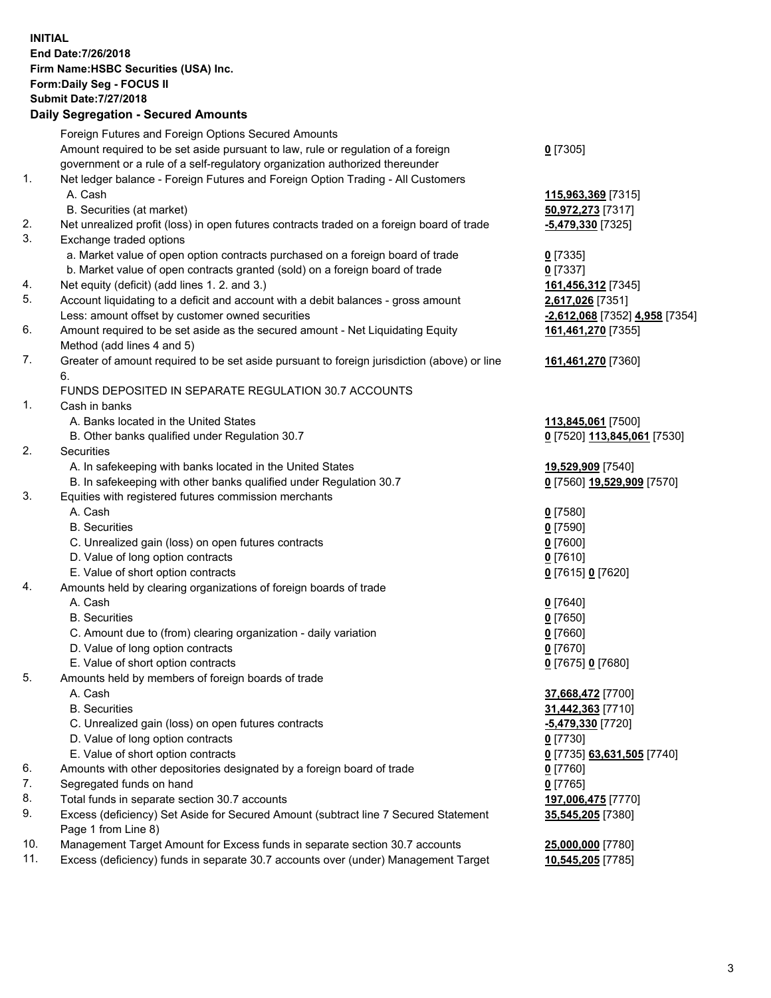**INITIAL End Date:7/26/2018 Firm Name:HSBC Securities (USA) Inc. Form:Daily Seg - FOCUS II Submit Date:7/27/2018 Daily Segregation - Secured Amounts** Foreign Futures and Foreign Options Secured Amounts Amount required to be set aside pursuant to law, rule or regulation of a foreign government or a rule of a self-regulatory organization authorized thereunder 1. Net ledger balance - Foreign Futures and Foreign Option Trading - All Customers A. Cash **115,963,369** [7315] B. Securities (at market) **50,972,273** [7317] 2. Net unrealized profit (loss) in open futures contracts traded on a foreign board of trade **-5,479,330** [7325]

- 3. Exchange traded options
	- a. Market value of open option contracts purchased on a foreign board of trade **0** [7335]
	- b. Market value of open contracts granted (sold) on a foreign board of trade **0** [7337]
- 4. Net equity (deficit) (add lines 1. 2. and 3.) **161,456,312** [7345]
- 5. Account liquidating to a deficit and account with a debit balances gross amount **2,617,026** [7351] Less: amount offset by customer owned securities **-2,612,068** [7352] **4,958** [7354]
- 6. Amount required to be set aside as the secured amount Net Liquidating Equity Method (add lines 4 and 5)
- 7. Greater of amount required to be set aside pursuant to foreign jurisdiction (above) or line 6.

## FUNDS DEPOSITED IN SEPARATE REGULATION 30.7 ACCOUNTS

- 1. Cash in banks
	- A. Banks located in the United States **113,845,061** [7500]
	- B. Other banks qualified under Regulation 30.7 **0** [7520] **113,845,061** [7530]
- 2. Securities
	- A. In safekeeping with banks located in the United States **19,529,909** [7540]
	- B. In safekeeping with other banks qualified under Regulation 30.7 **0** [7560] **19,529,909** [7570]
- 3. Equities with registered futures commission merchants
	- A. Cash **0** [7580]
	- B. Securities **0** [7590]
	- C. Unrealized gain (loss) on open futures contracts **0** [7600]
	- D. Value of long option contracts **0** [7610]
	- E. Value of short option contracts **0** [7615] **0** [7620]
- 4. Amounts held by clearing organizations of foreign boards of trade
	- A. Cash **0** [7640]
	- B. Securities **0** [7650]
	- C. Amount due to (from) clearing organization daily variation **0** [7660]
	- D. Value of long option contracts **0** [7670]
	- E. Value of short option contracts **0** [7675] **0** [7680]
- 5. Amounts held by members of foreign boards of trade
	-
	-
	- C. Unrealized gain (loss) on open futures contracts **-5,479,330** [7720]
	- D. Value of long option contracts **0** [7730]
	- E. Value of short option contracts **0** [7735] **63,631,505** [7740]
- 6. Amounts with other depositories designated by a foreign board of trade **0** [7760]
- 7. Segregated funds on hand **0** [7765]
- 8. Total funds in separate section 30.7 accounts **197,006,475** [7770]
- 9. Excess (deficiency) Set Aside for Secured Amount (subtract line 7 Secured Statement Page 1 from Line 8)
- 10. Management Target Amount for Excess funds in separate section 30.7 accounts **25,000,000** [7780]
- 11. Excess (deficiency) funds in separate 30.7 accounts over (under) Management Target **10,545,205** [7785]

**161,461,270** [7355]

**161,461,270** [7360]

 A. Cash **37,668,472** [7700] B. Securities **31,442,363** [7710] **35,545,205** [7380]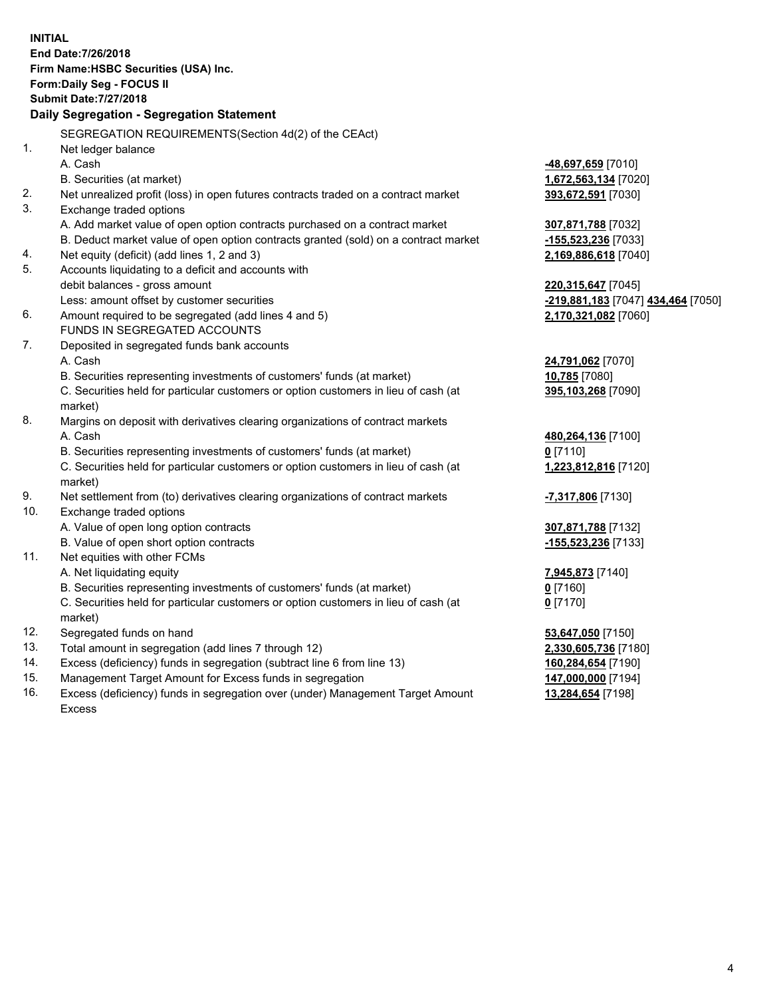**INITIAL End Date:7/26/2018 Firm Name:HSBC Securities (USA) Inc. Form:Daily Seg - FOCUS II Submit Date:7/27/2018 Daily Segregation - Segregation Statement** SEGREGATION REQUIREMENTS(Section 4d(2) of the CEAct) 1. Net ledger balance A. Cash **-48,697,659** [7010] B. Securities (at market) **1,672,563,134** [7020] 2. Net unrealized profit (loss) in open futures contracts traded on a contract market **393,672,591** [7030] 3. Exchange traded options A. Add market value of open option contracts purchased on a contract market **307,871,788** [7032] B. Deduct market value of open option contracts granted (sold) on a contract market **-155,523,236** [7033] 4. Net equity (deficit) (add lines 1, 2 and 3) **2,169,886,618** [7040] 5. Accounts liquidating to a deficit and accounts with debit balances - gross amount **220,315,647** [7045] Less: amount offset by customer securities **-219,881,183** [7047] **434,464** [7050] 6. Amount required to be segregated (add lines 4 and 5) **2,170,321,082** [7060] FUNDS IN SEGREGATED ACCOUNTS 7. Deposited in segregated funds bank accounts A. Cash **24,791,062** [7070] B. Securities representing investments of customers' funds (at market) **10,785** [7080] C. Securities held for particular customers or option customers in lieu of cash (at market) **395,103,268** [7090] 8. Margins on deposit with derivatives clearing organizations of contract markets A. Cash **480,264,136** [7100] B. Securities representing investments of customers' funds (at market) **0** [7110] C. Securities held for particular customers or option customers in lieu of cash (at market) **1,223,812,816** [7120] 9. Net settlement from (to) derivatives clearing organizations of contract markets **-7,317,806** [7130] 10. Exchange traded options A. Value of open long option contracts **307,871,788** [7132] B. Value of open short option contracts **-155,523,236** [7133] 11. Net equities with other FCMs A. Net liquidating equity **7,945,873** [7140] B. Securities representing investments of customers' funds (at market) **0** [7160] C. Securities held for particular customers or option customers in lieu of cash (at market) **0** [7170] 12. Segregated funds on hand **53,647,050** [7150] 13. Total amount in segregation (add lines 7 through 12) **2,330,605,736** [7180] 14. Excess (deficiency) funds in segregation (subtract line 6 from line 13) **160,284,654** [7190] 15. Management Target Amount for Excess funds in segregation **147,000,000** [7194] 16. Excess (deficiency) funds in segregation over (under) Management Target Amount **13,284,654** [7198]

Excess